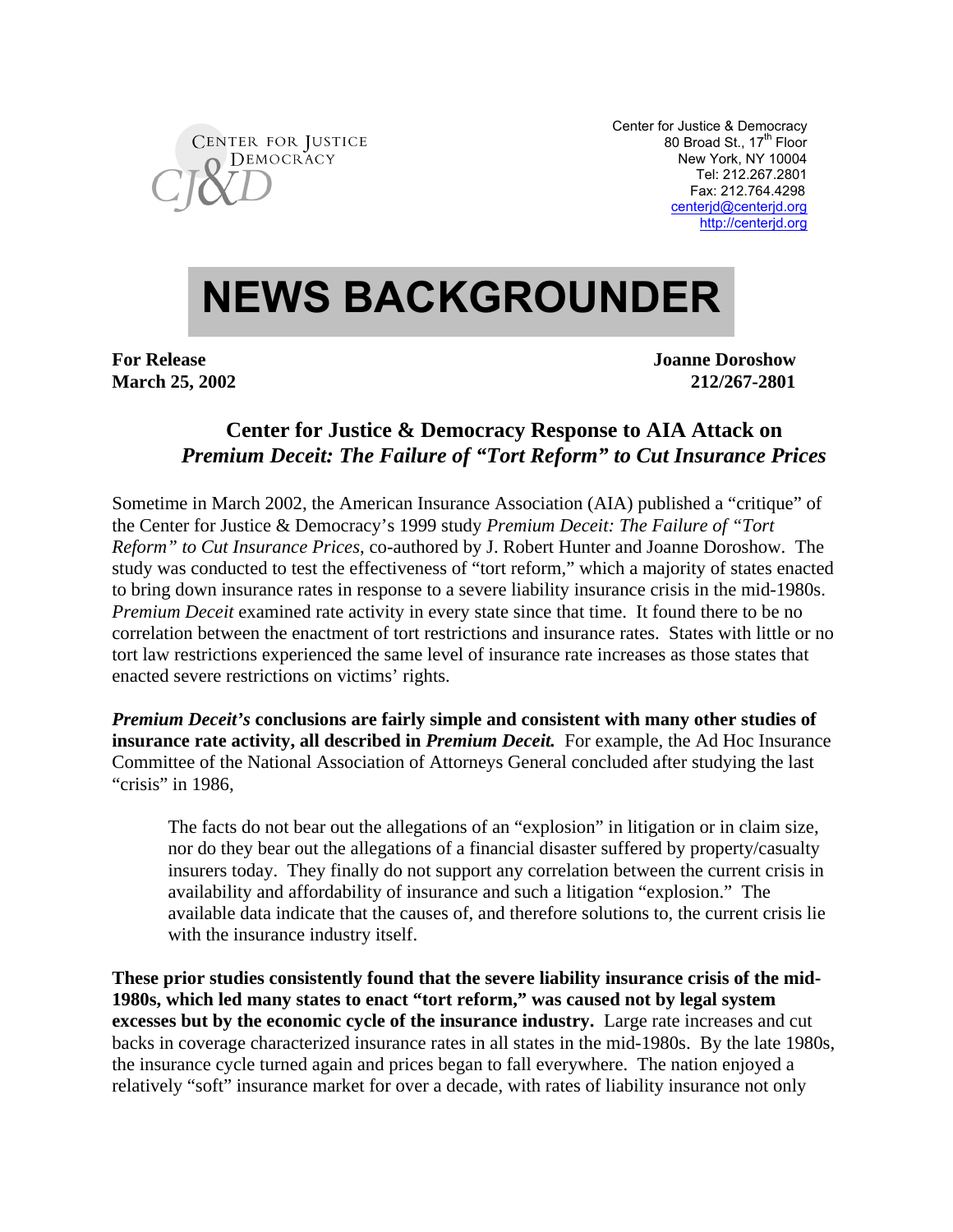

Center for Justice & Democracy 80 Broad St., 17<sup>th</sup> Floor New York, NY 10004 Tel: 212.267.2801 Fax: 212.764.4298 centerjd@centerjd.org http://centerjd.org

## **NEWS BACKGROUNDER**

**For Release Joanne Doroshow** Joanne Doroshow **March 25, 2002 212/267-2801**

## **Center for Justice & Democracy Response to AIA Attack on** *Premium Deceit: The Failure of "Tort Reform" to Cut Insurance Prices*

Sometime in March 2002, the American Insurance Association (AIA) published a "critique" of the Center for Justice & Democracy's 1999 study *Premium Deceit: The Failure of "Tort Reform" to Cut Insurance Prices*, co-authored by J. Robert Hunter and Joanne Doroshow. The study was conducted to test the effectiveness of "tort reform," which a majority of states enacted to bring down insurance rates in response to a severe liability insurance crisis in the mid-1980s. *Premium Deceit* examined rate activity in every state since that time. It found there to be no correlation between the enactment of tort restrictions and insurance rates. States with little or no tort law restrictions experienced the same level of insurance rate increases as those states that enacted severe restrictions on victims' rights.

*Premium Deceit's* **conclusions are fairly simple and consistent with many other studies of insurance rate activity, all described in** *Premium Deceit.* For example, the Ad Hoc Insurance Committee of the National Association of Attorneys General concluded after studying the last "crisis" in 1986,

The facts do not bear out the allegations of an "explosion" in litigation or in claim size, nor do they bear out the allegations of a financial disaster suffered by property/casualty insurers today. They finally do not support any correlation between the current crisis in availability and affordability of insurance and such a litigation "explosion." The available data indicate that the causes of, and therefore solutions to, the current crisis lie with the insurance industry itself.

**These prior studies consistently found that the severe liability insurance crisis of the mid-1980s, which led many states to enact "tort reform," was caused not by legal system excesses but by the economic cycle of the insurance industry.** Large rate increases and cut backs in coverage characterized insurance rates in all states in the mid-1980s. By the late 1980s, the insurance cycle turned again and prices began to fall everywhere. The nation enjoyed a relatively "soft" insurance market for over a decade, with rates of liability insurance not only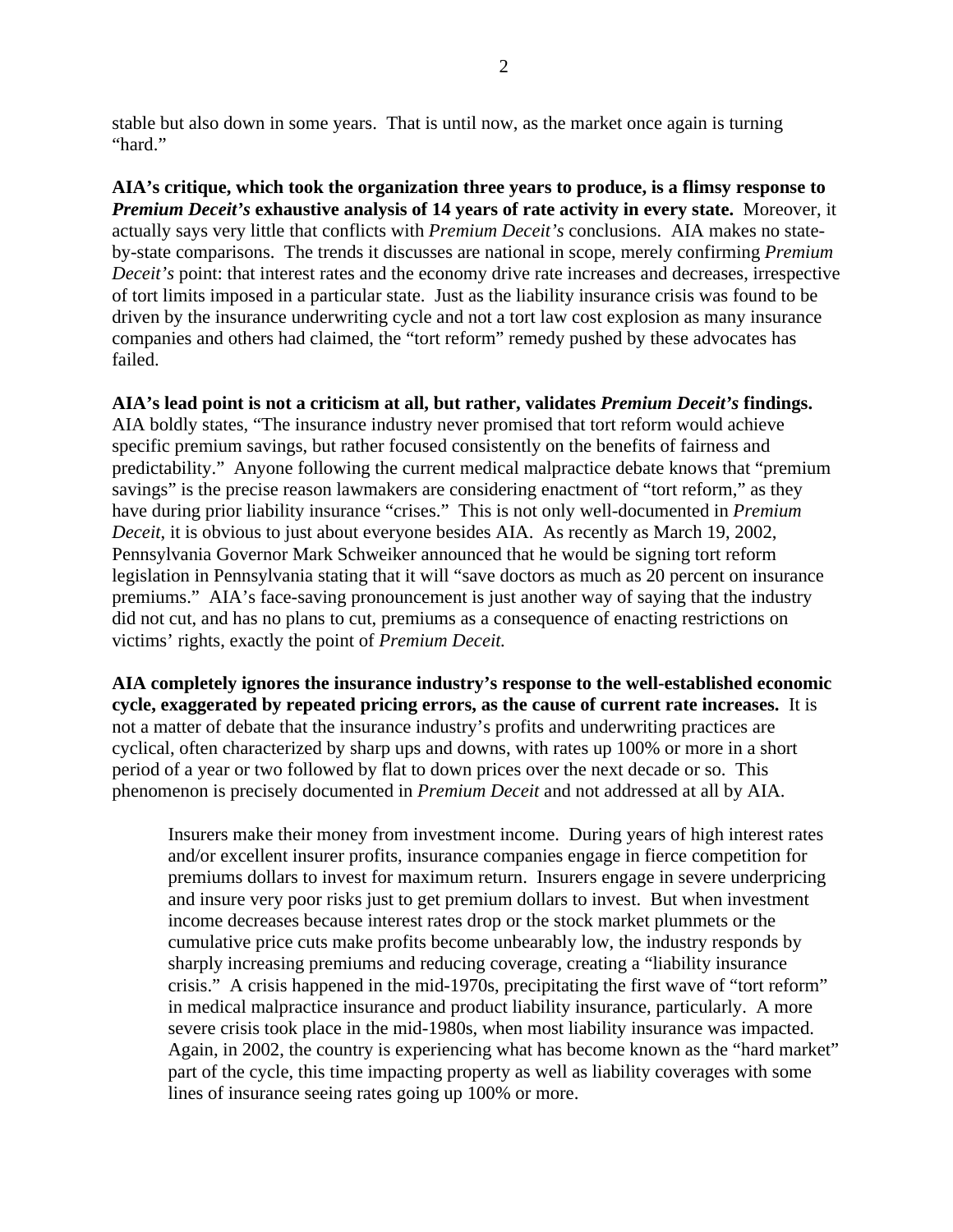stable but also down in some years. That is until now, as the market once again is turning "hard."

**AIA's critique, which took the organization three years to produce, is a flimsy response to** *Premium Deceit's* **exhaustive analysis of 14 years of rate activity in every state.** Moreover, it actually says very little that conflicts with *Premium Deceit's* conclusions. AIA makes no stateby-state comparisons. The trends it discusses are national in scope, merely confirming *Premium Deceit's* point: that interest rates and the economy drive rate increases and decreases, irrespective of tort limits imposed in a particular state. Just as the liability insurance crisis was found to be driven by the insurance underwriting cycle and not a tort law cost explosion as many insurance companies and others had claimed, the "tort reform" remedy pushed by these advocates has failed.

**AIA's lead point is not a criticism at all, but rather, validates** *Premium Deceit's* **findings.** AIA boldly states, "The insurance industry never promised that tort reform would achieve specific premium savings, but rather focused consistently on the benefits of fairness and predictability." Anyone following the current medical malpractice debate knows that "premium savings" is the precise reason lawmakers are considering enactment of "tort reform," as they have during prior liability insurance "crises." This is not only well-documented in *Premium Deceit*, it is obvious to just about everyone besides AIA. As recently as March 19, 2002, Pennsylvania Governor Mark Schweiker announced that he would be signing tort reform legislation in Pennsylvania stating that it will "save doctors as much as 20 percent on insurance premiums." AIA's face-saving pronouncement is just another way of saying that the industry did not cut, and has no plans to cut, premiums as a consequence of enacting restrictions on victims' rights, exactly the point of *Premium Deceit.*

**AIA completely ignores the insurance industry's response to the well-established economic cycle, exaggerated by repeated pricing errors, as the cause of current rate increases.** It is not a matter of debate that the insurance industry's profits and underwriting practices are cyclical, often characterized by sharp ups and downs, with rates up 100% or more in a short period of a year or two followed by flat to down prices over the next decade or so. This phenomenon is precisely documented in *Premium Deceit* and not addressed at all by AIA.

Insurers make their money from investment income. During years of high interest rates and/or excellent insurer profits, insurance companies engage in fierce competition for premiums dollars to invest for maximum return. Insurers engage in severe underpricing and insure very poor risks just to get premium dollars to invest. But when investment income decreases because interest rates drop or the stock market plummets or the cumulative price cuts make profits become unbearably low, the industry responds by sharply increasing premiums and reducing coverage, creating a "liability insurance crisis." A crisis happened in the mid-1970s, precipitating the first wave of "tort reform" in medical malpractice insurance and product liability insurance, particularly. A more severe crisis took place in the mid-1980s, when most liability insurance was impacted. Again, in 2002, the country is experiencing what has become known as the "hard market" part of the cycle, this time impacting property as well as liability coverages with some lines of insurance seeing rates going up 100% or more.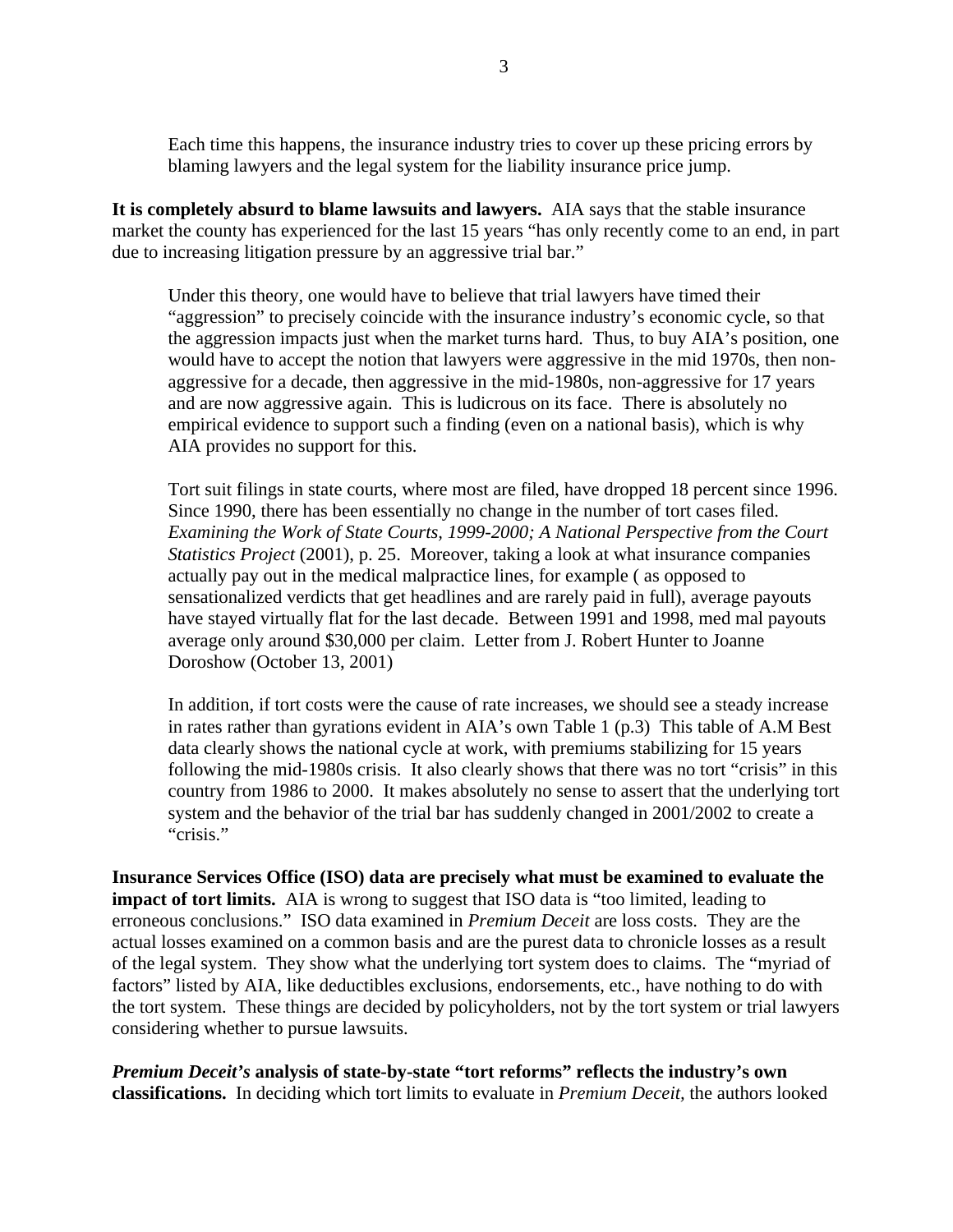Each time this happens, the insurance industry tries to cover up these pricing errors by blaming lawyers and the legal system for the liability insurance price jump.

**It is completely absurd to blame lawsuits and lawyers.** AIA says that the stable insurance market the county has experienced for the last 15 years "has only recently come to an end, in part due to increasing litigation pressure by an aggressive trial bar."

Under this theory, one would have to believe that trial lawyers have timed their "aggression" to precisely coincide with the insurance industry's economic cycle, so that the aggression impacts just when the market turns hard. Thus, to buy AIA's position, one would have to accept the notion that lawyers were aggressive in the mid 1970s, then nonaggressive for a decade, then aggressive in the mid-1980s, non-aggressive for 17 years and are now aggressive again. This is ludicrous on its face. There is absolutely no empirical evidence to support such a finding (even on a national basis), which is why AIA provides no support for this.

Tort suit filings in state courts, where most are filed, have dropped 18 percent since 1996. Since 1990, there has been essentially no change in the number of tort cases filed. *Examining the Work of State Courts, 1999-2000; A National Perspective from the Court Statistics Project* (2001), p. 25. Moreover, taking a look at what insurance companies actually pay out in the medical malpractice lines, for example ( as opposed to sensationalized verdicts that get headlines and are rarely paid in full), average payouts have stayed virtually flat for the last decade. Between 1991 and 1998, med mal payouts average only around \$30,000 per claim. Letter from J. Robert Hunter to Joanne Doroshow (October 13, 2001)

In addition, if tort costs were the cause of rate increases, we should see a steady increase in rates rather than gyrations evident in AIA's own Table 1 (p.3) This table of A.M Best data clearly shows the national cycle at work, with premiums stabilizing for 15 years following the mid-1980s crisis. It also clearly shows that there was no tort "crisis" in this country from 1986 to 2000. It makes absolutely no sense to assert that the underlying tort system and the behavior of the trial bar has suddenly changed in 2001/2002 to create a "crisis."

**Insurance Services Office (ISO) data are precisely what must be examined to evaluate the impact of tort limits.** AIA is wrong to suggest that ISO data is "too limited, leading to erroneous conclusions." ISO data examined in *Premium Deceit* are loss costs. They are the actual losses examined on a common basis and are the purest data to chronicle losses as a result of the legal system. They show what the underlying tort system does to claims. The "myriad of factors" listed by AIA, like deductibles exclusions, endorsements, etc., have nothing to do with the tort system. These things are decided by policyholders, not by the tort system or trial lawyers considering whether to pursue lawsuits.

*Premium Deceit's* **analysis of state-by-state "tort reforms" reflects the industry's own classifications.** In deciding which tort limits to evaluate in *Premium Deceit,* the authors looked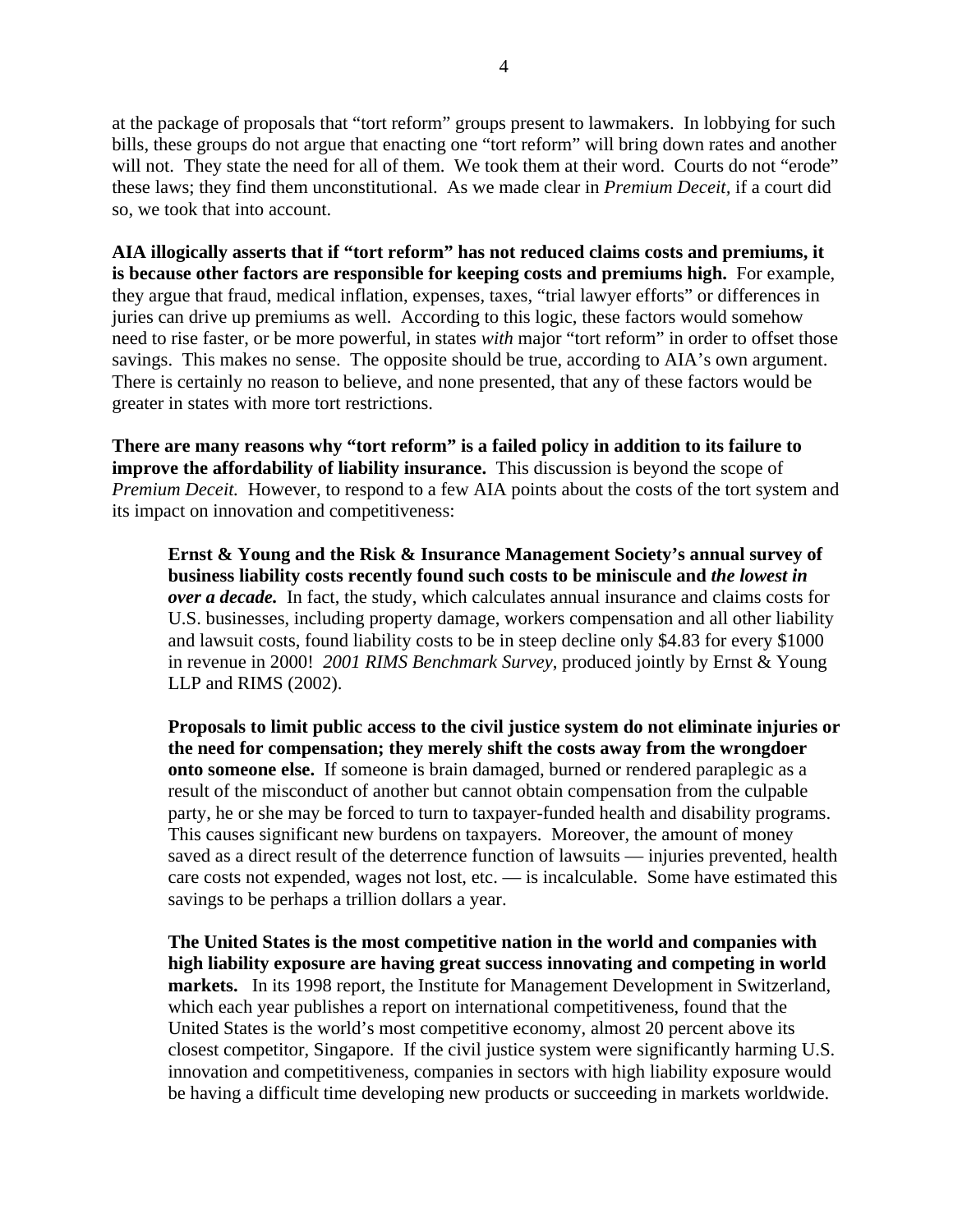at the package of proposals that "tort reform" groups present to lawmakers. In lobbying for such bills, these groups do not argue that enacting one "tort reform" will bring down rates and another will not. They state the need for all of them. We took them at their word. Courts do not "erode" these laws; they find them unconstitutional. As we made clear in *Premium Deceit,* if a court did so, we took that into account.

**AIA illogically asserts that if "tort reform" has not reduced claims costs and premiums, it is because other factors are responsible for keeping costs and premiums high.** For example, they argue that fraud, medical inflation, expenses, taxes, "trial lawyer efforts" or differences in juries can drive up premiums as well. According to this logic, these factors would somehow need to rise faster, or be more powerful, in states *with* major "tort reform" in order to offset those savings. This makes no sense. The opposite should be true, according to AIA's own argument. There is certainly no reason to believe, and none presented, that any of these factors would be greater in states with more tort restrictions.

**There are many reasons why "tort reform" is a failed policy in addition to its failure to improve the affordability of liability insurance.** This discussion is beyond the scope of *Premium Deceit.* However, to respond to a few AIA points about the costs of the tort system and its impact on innovation and competitiveness:

**Ernst & Young and the Risk & Insurance Management Society's annual survey of business liability costs recently found such costs to be miniscule and** *the lowest in over a decade.* In fact, the study, which calculates annual insurance and claims costs for U.S. businesses, including property damage, workers compensation and all other liability and lawsuit costs, found liability costs to be in steep decline only \$4.83 for every \$1000 in revenue in 2000! *2001 RIMS Benchmark Survey*, produced jointly by Ernst & Young LLP and RIMS (2002).

**Proposals to limit public access to the civil justice system do not eliminate injuries or the need for compensation; they merely shift the costs away from the wrongdoer onto someone else.** If someone is brain damaged, burned or rendered paraplegic as a result of the misconduct of another but cannot obtain compensation from the culpable party, he or she may be forced to turn to taxpayer-funded health and disability programs. This causes significant new burdens on taxpayers. Moreover, the amount of money saved as a direct result of the deterrence function of lawsuits — injuries prevented, health care costs not expended, wages not lost, etc. — is incalculable. Some have estimated this savings to be perhaps a trillion dollars a year.

**The United States is the most competitive nation in the world and companies with high liability exposure are having great success innovating and competing in world markets.** In its 1998 report, the Institute for Management Development in Switzerland, which each year publishes a report on international competitiveness, found that the United States is the world's most competitive economy, almost 20 percent above its closest competitor, Singapore. If the civil justice system were significantly harming U.S. innovation and competitiveness, companies in sectors with high liability exposure would be having a difficult time developing new products or succeeding in markets worldwide.